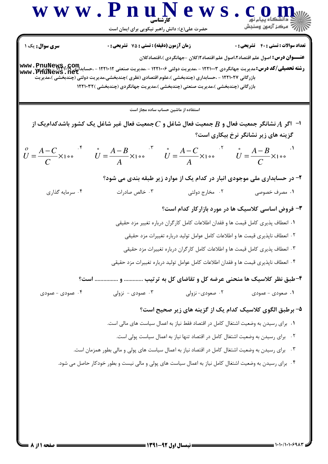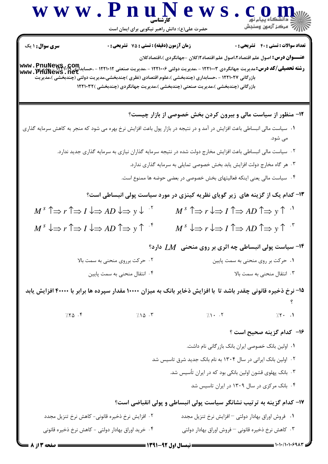|                                                                                                                   | www.PnuNews                                                                                                                                                                                                                                                                                                                    |                                                                                                                         | c o m                                              |
|-------------------------------------------------------------------------------------------------------------------|--------------------------------------------------------------------------------------------------------------------------------------------------------------------------------------------------------------------------------------------------------------------------------------------------------------------------------|-------------------------------------------------------------------------------------------------------------------------|----------------------------------------------------|
|                                                                                                                   | حضرت علی(ع): دانش راهبر نیکویی برای ایمان است                                                                                                                                                                                                                                                                                  |                                                                                                                         |                                                    |
| <b>سری سوال :</b> ۱ یک                                                                                            | زمان آزمون (دقیقه) : تستی : 75 تشریحی : 0                                                                                                                                                                                                                                                                                      |                                                                                                                         | <b>تعداد سوالات : تستی : 40 - تشریحی : 0</b>       |
|                                                                                                                   | رشته تحصیلی/کد درس: مدیریت جهانگردی ۱۲۲۱۰۰۳ - مدیریت دولتی ۱۲۲۱۰۰۶ - مدیریت صنعتی ۱۲۲۱۰۱۲ - ،حسابداری ۱۲۳۹۰ - ۳<br>Www . PriuNews . net<br>بازرگانی ۱۲۲۱۰۲۷ - ،حسابداری (چندبخشی )،علوم اقتصادی (نظری )چندبخشی،مدیریت دولتی (چندبخشی )،مدیریت<br>بازرگانی (چندبخشی )،مدیریت صنعتی (چندبخشی )،مدیریت جهانگردی (چندبخشی )۱۲۲۱۰۳۲ | <b>عنــــوان درس:</b> اصول علم اقتصاد ٢،اصول علم اقتصاد ٢(كلان -جهانگردی )،اقتصادكلان                                   |                                                    |
|                                                                                                                   |                                                                                                                                                                                                                                                                                                                                | ۱۲- منظور از سیاست مالی و بیرون کردن بخش خصوصی از بازار چیست؟                                                           |                                                    |
|                                                                                                                   | ۰۱ سیاست مالی انبساطی باعث افزایش در آمد و در نتیجه در بازار پول باعث افزایش نرخ بهره می شود که منجر به کاهش سرمایه گذاری                                                                                                                                                                                                      |                                                                                                                         | می شود.                                            |
|                                                                                                                   | ۰۲ سیاست مالی انبساطی باعث افزایش مخارج دولت شده در نتیجه سرمایه گذاران نیازی به سرمایه گذاری جدید ندارد.                                                                                                                                                                                                                      |                                                                                                                         |                                                    |
|                                                                                                                   |                                                                                                                                                                                                                                                                                                                                | ۰۳ هر گاه مخارج دولت افزایش یابد بخش خصوصی تمایلی به سرمایه گذاری ندارد.                                                |                                                    |
|                                                                                                                   |                                                                                                                                                                                                                                                                                                                                | ۰۴ سیاست مالی یعنی اینکه فعالیتهای بخش خصوصی در بعضی حوضه ها ممنوع است.                                                 |                                                    |
|                                                                                                                   | ۱۳- کدام یک از گزینه های زیر گویای نظریه کینزی در مورد سیاست پولی انبساطی است؟                                                                                                                                                                                                                                                 |                                                                                                                         |                                                    |
| $M^s \uparrow \Rightarrow r \uparrow \Rightarrow I \downarrow \Rightarrow AD \downarrow \Rightarrow y \downarrow$ |                                                                                                                                                                                                                                                                                                                                | $M^s \uparrow \Rightarrow r \downarrow \Rightarrow I \uparrow \Rightarrow AD \uparrow \Rightarrow y \uparrow \cdot'$    |                                                    |
| $M^s \downarrow \Rightarrow r \uparrow \Rightarrow I \downarrow \Rightarrow AD \uparrow \Rightarrow y \uparrow$ ' |                                                                                                                                                                                                                                                                                                                                | $M^s \downarrow \Rightarrow r \downarrow \Rightarrow I \uparrow \Rightarrow AD \uparrow \Rightarrow y \uparrow \cdot^r$ |                                                    |
|                                                                                                                   |                                                                                                                                                                                                                                                                                                                                | ۱۴- سیاست پولی انبساطی چه اثری بر روی منحنی $\,M$ دارد؟                                                                 |                                                    |
|                                                                                                                   | ۰۲ حرکت برروی منحنی به سمت بالا                                                                                                                                                                                                                                                                                                |                                                                                                                         | ۰۱ حرکت بر روی منحنی به سمت پایین                  |
|                                                                                                                   | ۰۴ انتقال منحنی به سمت پایین                                                                                                                                                                                                                                                                                                   |                                                                                                                         | ۰۳ انتقال منحنی به سمت بالا                        |
|                                                                                                                   | ۱۵– نرخ ذخیره قانونی چقدر باشد تا با افزایش ذخایر بانک به میزان ۱۰۰۰۰ مقدار سپرده ها برابر با ۴۰۰۰۰ افزایش یابد                                                                                                                                                                                                                |                                                                                                                         |                                                    |
| 7.70.9                                                                                                            | $7.10 \cdot$ $\sqrt{ }$                                                                                                                                                                                                                                                                                                        | $7.1 - .7$                                                                                                              | $7.7 - .1$                                         |
|                                                                                                                   |                                                                                                                                                                                                                                                                                                                                |                                                                                                                         | ۱۶– کدام گزینه صحیح است ؟                          |
|                                                                                                                   |                                                                                                                                                                                                                                                                                                                                |                                                                                                                         | ٠١ اولين بانک خصوصي ايران بانک بازر گاني نام داشت. |
|                                                                                                                   |                                                                                                                                                                                                                                                                                                                                | ۰۲ اولین بانک ایرانی در سال ۱۳۰۴ به نام بانک جدید شرق تاسیس شد                                                          |                                                    |
|                                                                                                                   |                                                                                                                                                                                                                                                                                                                                | ۰۳ بانک پهلوی قشون اولین بانکی بود که در ایران تأسیس شد.                                                                |                                                    |
|                                                                                                                   |                                                                                                                                                                                                                                                                                                                                |                                                                                                                         | ۰۴ بانک مرکزی در سال ۱۳۰۹ در ایران تاسیس شد        |
|                                                                                                                   |                                                                                                                                                                                                                                                                                                                                | ۱۷- کدام گزینه به ترتیب نشانگر سیاست پولی انبساطی و پولی انقباضی است؟                                                   |                                                    |
|                                                                                                                   | ۰۲ افزایش نرخ ذخیره قانونی- کاهش نرخ تنزیل مجدد                                                                                                                                                                                                                                                                                | ٠١ فروش اوراق بهادار دولتي - افزايش نرخ تنزيل مجدد                                                                      |                                                    |
|                                                                                                                   | ۰۴ خرید اوراق بهادار دولتی - کاهش نرخ ذخیره قانونی                                                                                                                                                                                                                                                                             |                                                                                                                         | ۰۳ کاهش نرخ ذخیره قانونی — فروش اوراق بهادار دولتی |
| صفحه 3 از 1                                                                                                       |                                                                                                                                                                                                                                                                                                                                | = نیمسال اول ۹۲-۱۳۹۱ =                                                                                                  |                                                    |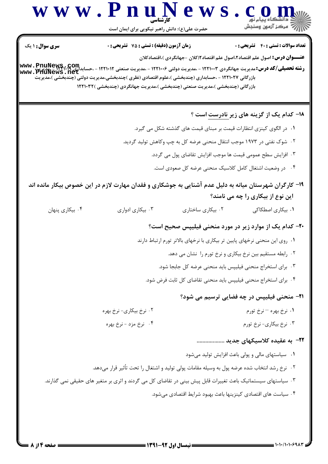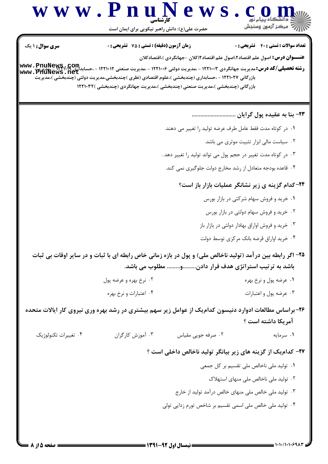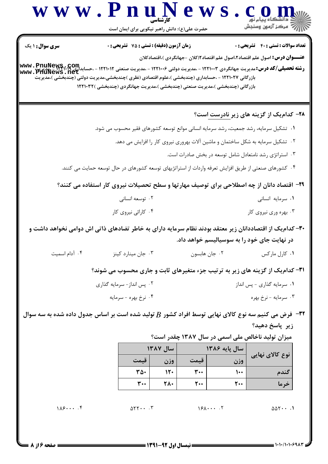|                                                                                                                                                                                   | حضرت علی(ع): دانش راهبر نیکویی برای ایمان است                                                            |            |                                |                                 |                                                                                       |
|-----------------------------------------------------------------------------------------------------------------------------------------------------------------------------------|----------------------------------------------------------------------------------------------------------|------------|--------------------------------|---------------------------------|---------------------------------------------------------------------------------------|
| سری سوال: ۱ یک                                                                                                                                                                    | <b>زمان آزمون (دقیقه) : تستی : 75 تشریحی : 0</b>                                                         |            |                                |                                 | <b>تعداد سوالات : تستي : 40 ٪ تشريحي : 0</b>                                          |
|                                                                                                                                                                                   |                                                                                                          |            |                                |                                 | <b>عنــــوان درس:</b> اصول علم اقتصاد ۲،اصول علم اقتصاد ۱۲کلان –جهانگردی )،اقتصادکلان |
| <b>www . PnuNews . Com .</b><br>WWW . PnuNews . That - ۱۲۲۱۰۰۴ - مدیریت دولتی ۱۲۲۱۰۰۶ - مدیریت صنعتی ۱۲۲۱۰۱۲ - ،حسابدالله استان الله است . ۳۲۱۳<br>WWW . PnuNews . net<br>www.Pnu | بازرگانی ۱۲۲۱۰۲۷ - ،حسابداری (چندبخشی )،علوم اقتصادی (نظری )چندبخشی،مدیریت دولتی (چندبخشی )،مدیریت       |            |                                |                                 |                                                                                       |
|                                                                                                                                                                                   | بازرگانی (چندبخشی )،مدیریت صنعتی (چندبخشی )،مدیریت جهانگردی (چندبخشی )۱۲۲۱۰۳۲                            |            |                                |                                 |                                                                                       |
|                                                                                                                                                                                   |                                                                                                          |            |                                |                                 |                                                                                       |
|                                                                                                                                                                                   |                                                                                                          |            |                                |                                 | <b>۲۸- کدام یک از گزینه های زیر نادرست است</b> ؟                                      |
|                                                                                                                                                                                   | ۰۱ تشکیل سرمایه، رشد جمعیت، رشد سرمایه انسانی موانع توسعه کشورهای فقیر محسوب می شود.                     |            |                                |                                 | ۰۲ تشکیل سرمایه به شکل ساختمان و ماشین آلات بهروری نیروی کار را افزایش می دهد.        |
|                                                                                                                                                                                   |                                                                                                          |            |                                |                                 |                                                                                       |
|                                                                                                                                                                                   |                                                                                                          |            |                                |                                 | ۰۳ استراتژی رشد نامتعادل شامل توسعه در بخش صادرات است.                                |
|                                                                                                                                                                                   | ۰۴ کشورهای صنعتی از طریق افزایش تعرفه واردات از استراتژیهای توسعه کشورهای در حال توسعه حمایت می کنند.    |            |                                |                                 |                                                                                       |
|                                                                                                                                                                                   | ۲۹- اقتصاد دانان از چه اصطلاحی برای توصیف مهارتها و سطح تحصیلات نیروی کار استفاده می کنند؟               |            |                                |                                 |                                                                                       |
|                                                                                                                                                                                   | ۰۲ توسعه انسانی                                                                                          |            | ۰۱ سرمایه انسانی               |                                 |                                                                                       |
|                                                                                                                                                                                   | ۰۴ کارائی نیروی کار                                                                                      |            | ۰۳ بهره وری نیروی کار          |                                 |                                                                                       |
|                                                                                                                                                                                   | ۳۰– کدام یک از اقتصاددانان زیر معتقد بودند نظام سرمایه دارای به خاطر تضادهای ذاتی اش دوامی نخواهد داشت و |            |                                |                                 |                                                                                       |
|                                                                                                                                                                                   |                                                                                                          |            |                                |                                 | در نهایت جای خود را به سوسیالیسم خواهد داد.                                           |
| ۰۴ آدام اسمیت                                                                                                                                                                     | ۰۳ جان مینارد کینز                                                                                       |            | ۰۲ جان هابسون                  |                                 | ۰۱ کارل مارکس                                                                         |
|                                                                                                                                                                                   | ۳۱- کدام یک از گزینه های زیر به ترتیب جزء متغیرهای ثابت و جاری محسوب می شوند؟                            |            |                                |                                 |                                                                                       |
|                                                                                                                                                                                   | ۰۲ پس انداز- سرمایه گذاری                                                                                |            | ۰۱ سرمايه گذارى - پس انداز     |                                 |                                                                                       |
|                                                                                                                                                                                   | ۰۴ نرخ بهره - سرمایه                                                                                     |            |                                |                                 | ۰۳ سرمايه - نرخ بهره                                                                  |
| خرض می کنیم سه نوع کالای نهایی توسط افراد کشور $B$ تولید شده است بر اساس جدول داده شده به سه سوال "                                                                               |                                                                                                          |            |                                |                                 |                                                                                       |
|                                                                                                                                                                                   |                                                                                                          |            |                                |                                 | زیر پاسخ دهید؟                                                                        |
|                                                                                                                                                                                   |                                                                                                          |            |                                |                                 | میزان تولید ناخالص ملی اسمی در سال ۱۳۸۷ چقدر است؟                                     |
|                                                                                                                                                                                   |                                                                                                          | سال ۱۳۸۷   |                                | سال يايه ۱۳۸۶                   | نوع کالای نهایی                                                                       |
|                                                                                                                                                                                   | قيمت                                                                                                     | وزن        | قيمت                           | وزن                             |                                                                                       |
|                                                                                                                                                                                   | ٣۵٠<br>$\mathbf{r}$                                                                                      | 15.<br>78. | $\mathbf{r}$<br>$\mathbf{r}$ . | $\mathcal{L}$<br>$\mathbf{r}$ . | گندم                                                                                  |
|                                                                                                                                                                                   |                                                                                                          |            |                                |                                 | خرما                                                                                  |
|                                                                                                                                                                                   |                                                                                                          |            |                                |                                 |                                                                                       |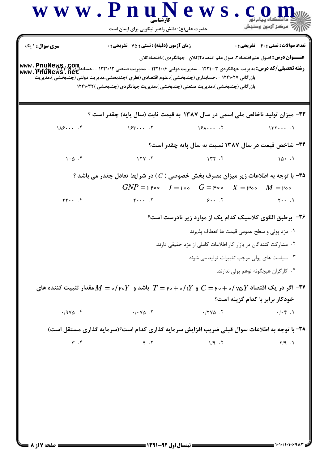$\sim$